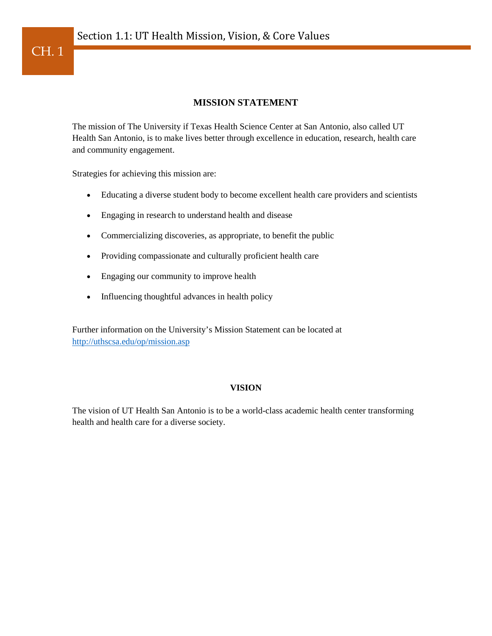### **MISSION STATEMENT**

The mission of The University if Texas Health Science Center at San Antonio, also called UT Health San Antonio, is to make lives better through excellence in education, research, health care and community engagement.

Strategies for achieving this mission are:

- Educating a diverse student body to become excellent health care providers and scientists
- Engaging in research to understand health and disease
- Commercializing discoveries, as appropriate, to benefit the public
- Providing compassionate and culturally proficient health care
- Engaging our community to improve health
- Influencing thoughtful advances in health policy

Further information on the University's Mission Statement can be located at <http://uthscsa.edu/op/mission.asp>

#### **VISION**

The vision of UT Health San Antonio is to be a world-class academic health center transforming health and health care for a diverse society.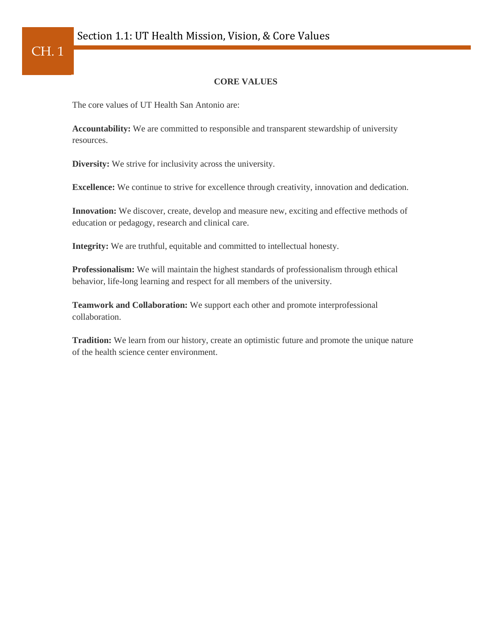### **CORE VALUES**

The core values of UT Health San Antonio are:

**Accountability:** We are committed to responsible and transparent stewardship of university resources.

**Diversity:** We strive for inclusivity across the university.

**Excellence:** We continue to strive for excellence through creativity, innovation and dedication.

**Innovation:** We discover, create, develop and measure new, exciting and effective methods of education or pedagogy, research and clinical care.

**Integrity:** We are truthful, equitable and committed to intellectual honesty.

**Professionalism:** We will maintain the highest standards of professionalism through ethical behavior, life-long learning and respect for all members of the university.

**Teamwork and Collaboration:** We support each other and promote interprofessional collaboration.

**Tradition:** We learn from our history, create an optimistic future and promote the unique nature of the health science center environment.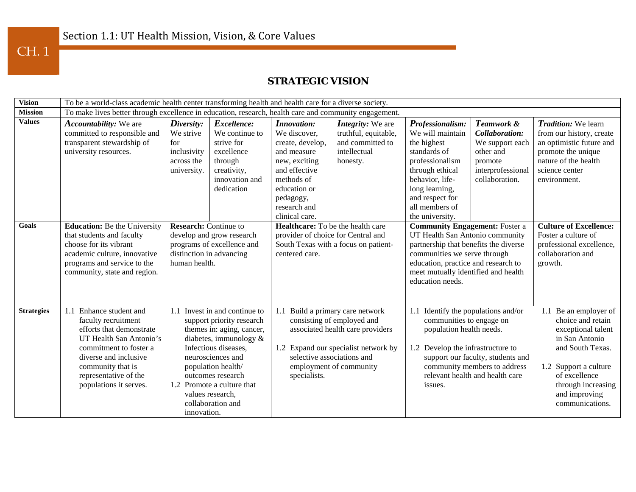CH. 1

## **STRATEGIC VISION**

| <b>Vision</b>     | To be a world-class academic health center transforming health and health care for a diverse society.                                                                                                                            |                                                                                                                                                                                                                                                                                                |                                                                      |                                                                                                                                                                                                                        |                                                  |                                                                                                                                                                                                                                                        |                                                                                |                                                                                                                                                                                                            |  |
|-------------------|----------------------------------------------------------------------------------------------------------------------------------------------------------------------------------------------------------------------------------|------------------------------------------------------------------------------------------------------------------------------------------------------------------------------------------------------------------------------------------------------------------------------------------------|----------------------------------------------------------------------|------------------------------------------------------------------------------------------------------------------------------------------------------------------------------------------------------------------------|--------------------------------------------------|--------------------------------------------------------------------------------------------------------------------------------------------------------------------------------------------------------------------------------------------------------|--------------------------------------------------------------------------------|------------------------------------------------------------------------------------------------------------------------------------------------------------------------------------------------------------|--|
| <b>Mission</b>    | To make lives better through excellence in education, research, health care and community engagement.                                                                                                                            |                                                                                                                                                                                                                                                                                                |                                                                      |                                                                                                                                                                                                                        |                                                  |                                                                                                                                                                                                                                                        |                                                                                |                                                                                                                                                                                                            |  |
| <b>Values</b>     | <b>Accountability:</b> We are<br>committed to responsible and                                                                                                                                                                    | Diversity:<br>We strive                                                                                                                                                                                                                                                                        | Excellence:<br>We continue to                                        | <i>Innovation:</i><br>We discover,                                                                                                                                                                                     | <i>Integrity:</i> We are<br>truthful, equitable, | Professionalism:<br>We will maintain                                                                                                                                                                                                                   | Teamwork &<br>Collaboration:                                                   | <i>Tradition:</i> We learn<br>from our history, create                                                                                                                                                     |  |
|                   | transparent stewardship of<br>university resources.                                                                                                                                                                              | for<br>inclusivity<br>across the<br>university.                                                                                                                                                                                                                                                | strive for<br>excellence<br>through<br>creativity,<br>innovation and | create, develop,<br>and measure<br>new, exciting<br>and effective<br>methods of                                                                                                                                        | and committed to<br>intellectual<br>honesty.     | the highest<br>standards of<br>professionalism<br>through ethical<br>behavior, life-                                                                                                                                                                   | We support each<br>other and<br>promote<br>interprofessional<br>collaboration. | an optimistic future and<br>promote the unique<br>nature of the health<br>science center<br>environment.                                                                                                   |  |
|                   |                                                                                                                                                                                                                                  |                                                                                                                                                                                                                                                                                                | dedication                                                           | education or<br>pedagogy,<br>research and<br>clinical care.                                                                                                                                                            |                                                  | long learning,<br>and respect for<br>all members of<br>the university.                                                                                                                                                                                 |                                                                                |                                                                                                                                                                                                            |  |
| <b>Goals</b>      | <b>Education:</b> Be the University<br>that students and faculty<br>choose for its vibrant<br>academic culture, innovative<br>programs and service to the<br>community, state and region.                                        | <b>Research:</b> Continue to<br>develop and grow research<br>programs of excellence and<br>distinction in advancing<br>human health.                                                                                                                                                           |                                                                      | Healthcare: To be the health care<br>provider of choice for Central and<br>South Texas with a focus on patient-<br>centered care.                                                                                      |                                                  | <b>Community Engagement: Foster a</b><br>UT Health San Antonio community<br>partnership that benefits the diverse<br>communities we serve through<br>education, practice and research to<br>meet mutually identified and health<br>education needs.    |                                                                                | <b>Culture of Excellence:</b><br>Foster a culture of<br>professional excellence,<br>collaboration and<br>growth.                                                                                           |  |
| <b>Strategies</b> | 1.1 Enhance student and<br>faculty recruitment<br>efforts that demonstrate<br>UT Health San Antonio's<br>commitment to foster a<br>diverse and inclusive<br>community that is<br>representative of the<br>populations it serves. | Invest in and continue to<br>support priority research<br>themes in: aging, cancer,<br>diabetes, immunology $\&$<br>Infectious diseases,<br>neurosciences and<br>population health/<br>outcomes research<br>1.2 Promote a culture that<br>values research,<br>collaboration and<br>innovation. |                                                                      | Build a primary care network<br>1.1<br>consisting of employed and<br>associated health care providers<br>1.2 Expand our specialist network by<br>selective associations and<br>employment of community<br>specialists. |                                                  | Identify the populations and/or<br>1.1<br>communities to engage on<br>population health needs.<br>1.2 Develop the infrastructure to<br>support our faculty, students and<br>community members to address<br>relevant health and health care<br>issues. |                                                                                | 1.1 Be an employer of<br>choice and retain<br>exceptional talent<br>in San Antonio<br>and South Texas.<br>1.2 Support a culture<br>of excellence<br>through increasing<br>and improving<br>communications. |  |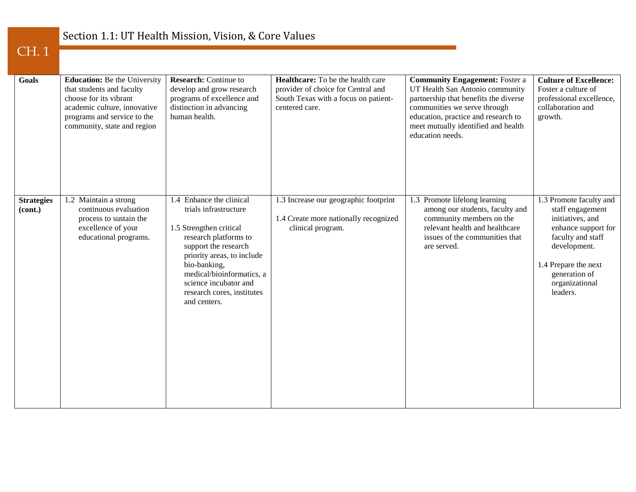## Section 1.1: UT Health Mission, Vision, & Core Values

## CH. 1

| <b>Goals</b>                 | <b>Education:</b> Be the University<br>that students and faculty<br>choose for its vibrant<br>academic culture, innovative<br>programs and service to the<br>community, state and region | <b>Research:</b> Continue to<br>develop and grow research<br>programs of excellence and<br>distinction in advancing<br>human health.                                                                                                                                            | Healthcare: To be the health care<br>provider of choice for Central and<br>South Texas with a focus on patient-<br>centered care. | <b>Community Engagement: Foster a</b><br>UT Health San Antonio community<br>partnership that benefits the diverse<br>communities we serve through<br>education, practice and research to<br>meet mutually identified and health<br>education needs. | <b>Culture of Excellence:</b><br>Foster a culture of<br>professional excellence,<br>collaboration and<br>growth.                                                                                   |
|------------------------------|------------------------------------------------------------------------------------------------------------------------------------------------------------------------------------------|---------------------------------------------------------------------------------------------------------------------------------------------------------------------------------------------------------------------------------------------------------------------------------|-----------------------------------------------------------------------------------------------------------------------------------|-----------------------------------------------------------------------------------------------------------------------------------------------------------------------------------------------------------------------------------------------------|----------------------------------------------------------------------------------------------------------------------------------------------------------------------------------------------------|
| <b>Strategies</b><br>(cont.) | 1.2 Maintain a strong<br>continuous evaluation<br>process to sustain the<br>excellence of your<br>educational programs.                                                                  | 1.4 Enhance the clinical<br>trials infrastructure<br>1.5 Strengthen critical<br>research platforms to<br>support the research<br>priority areas, to include<br>bio-banking,<br>medical/bioinformatics, a<br>science incubator and<br>research cores, institutes<br>and centers. | 1.3 Increase our geographic footprint<br>1.4 Create more nationally recognized<br>clinical program.                               | 1.3 Promote lifelong learning<br>among our students, faculty and<br>community members on the<br>relevant health and healthcare<br>issues of the communities that<br>are served.                                                                     | 1.3 Promote faculty and<br>staff engagement<br>initiatives, and<br>enhance support for<br>faculty and staff<br>development.<br>1.4 Prepare the next<br>generation of<br>organizational<br>leaders. |